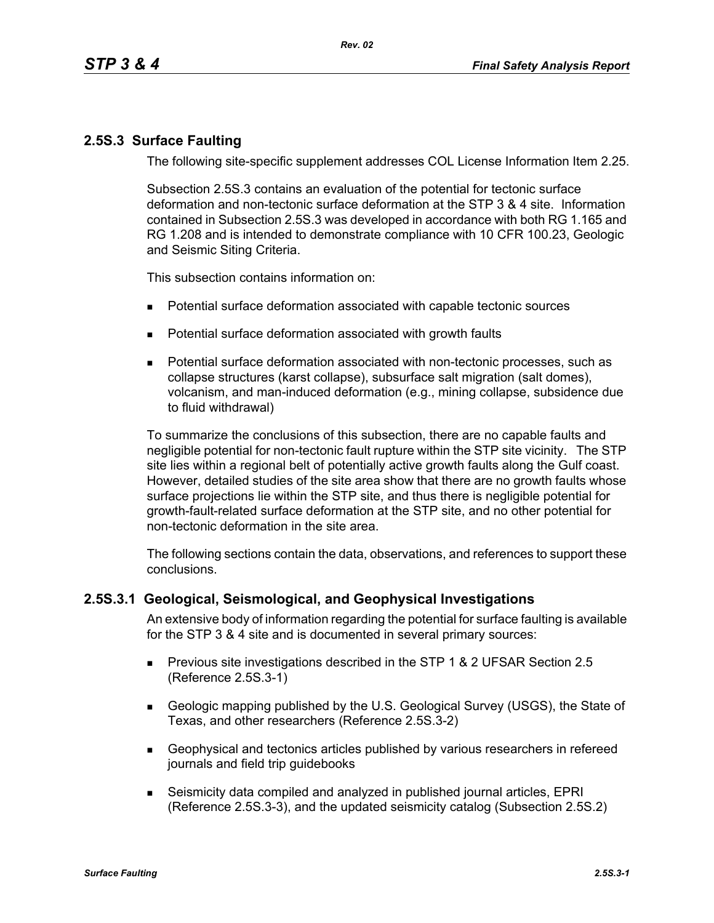## **2.5S.3 Surface Faulting**

The following site-specific supplement addresses COL License Information Item 2.25.

Subsection 2.5S.3 contains an evaluation of the potential for tectonic surface deformation and non-tectonic surface deformation at the STP 3 & 4 site. Information contained in Subsection 2.5S.3 was developed in accordance with both RG 1.165 and RG 1.208 and is intended to demonstrate compliance with 10 CFR 100.23, Geologic and Seismic Siting Criteria.

This subsection contains information on:

- Potential surface deformation associated with capable tectonic sources
- **Potential surface deformation associated with growth faults**
- Potential surface deformation associated with non-tectonic processes, such as collapse structures (karst collapse), subsurface salt migration (salt domes), volcanism, and man-induced deformation (e.g., mining collapse, subsidence due to fluid withdrawal)

To summarize the conclusions of this subsection, there are no capable faults and negligible potential for non-tectonic fault rupture within the STP site vicinity. The STP site lies within a regional belt of potentially active growth faults along the Gulf coast. However, detailed studies of the site area show that there are no growth faults whose surface projections lie within the STP site, and thus there is negligible potential for growth-fault-related surface deformation at the STP site, and no other potential for non-tectonic deformation in the site area.

The following sections contain the data, observations, and references to support these conclusions.

## **2.5S.3.1 Geological, Seismological, and Geophysical Investigations**

An extensive body of information regarding the potential for surface faulting is available for the STP 3 & 4 site and is documented in several primary sources:

- **Previous site investigations described in the STP 1 & 2 UFSAR Section 2.5** (Reference 2.5S.3-1)
- Geologic mapping published by the U.S. Geological Survey (USGS), the State of Texas, and other researchers (Reference 2.5S.3-2)
- Geophysical and tectonics articles published by various researchers in refereed journals and field trip guidebooks
- Seismicity data compiled and analyzed in published journal articles, EPRI (Reference 2.5S.3-3), and the updated seismicity catalog (Subsection 2.5S.2)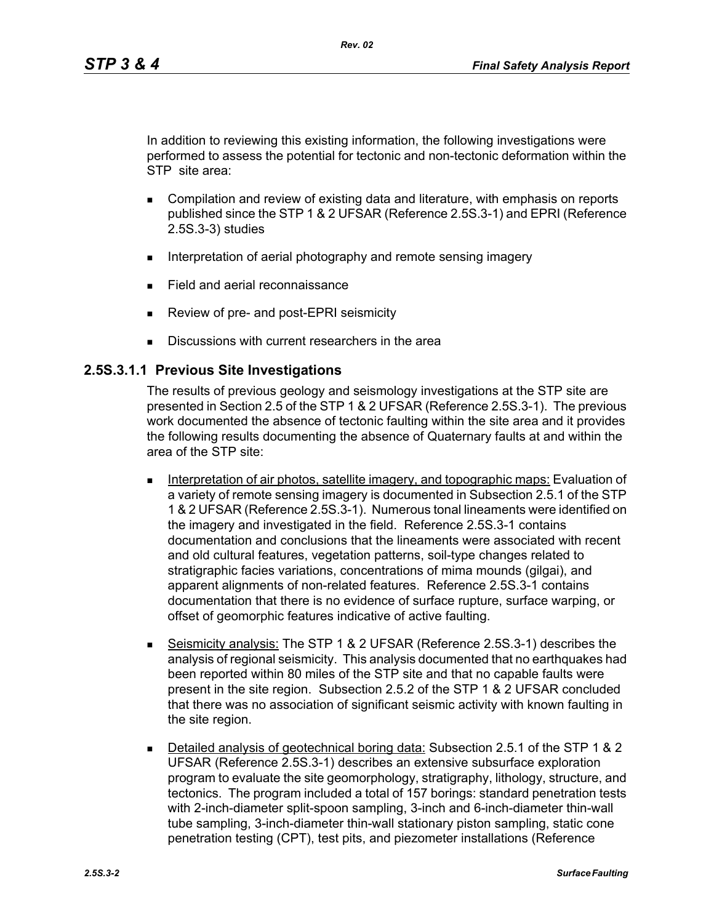In addition to reviewing this existing information, the following investigations were performed to assess the potential for tectonic and non-tectonic deformation within the STP site area:

- **Compilation and review of existing data and literature, with emphasis on reports** published since the STP 1 & 2 UFSAR (Reference 2.5S.3-1) and EPRI (Reference 2.5S.3-3) studies
- Interpretation of aerial photography and remote sensing imagery
- **Field and aerial reconnaissance**
- Review of pre- and post-EPRI seismicity
- Discussions with current researchers in the area

#### **2.5S.3.1.1 Previous Site Investigations**

The results of previous geology and seismology investigations at the STP site are presented in Section 2.5 of the STP 1 & 2 UFSAR (Reference 2.5S.3-1). The previous work documented the absence of tectonic faulting within the site area and it provides the following results documenting the absence of Quaternary faults at and within the area of the STP site:

- Interpretation of air photos, satellite imagery, and topographic maps: Evaluation of a variety of remote sensing imagery is documented in Subsection 2.5.1 of the STP 1 & 2 UFSAR (Reference 2.5S.3-1). Numerous tonal lineaments were identified on the imagery and investigated in the field. Reference 2.5S.3-1 contains documentation and conclusions that the lineaments were associated with recent and old cultural features, vegetation patterns, soil-type changes related to stratigraphic facies variations, concentrations of mima mounds (gilgai), and apparent alignments of non-related features. Reference 2.5S.3-1 contains documentation that there is no evidence of surface rupture, surface warping, or offset of geomorphic features indicative of active faulting.
- **Seismicity analysis:** The STP 1 & 2 UFSAR (Reference 2.5S.3-1) describes the analysis of regional seismicity. This analysis documented that no earthquakes had been reported within 80 miles of the STP site and that no capable faults were present in the site region. Subsection 2.5.2 of the STP 1 & 2 UFSAR concluded that there was no association of significant seismic activity with known faulting in the site region.
- Detailed analysis of geotechnical boring data: Subsection 2.5.1 of the STP 1 & 2 UFSAR (Reference 2.5S.3-1) describes an extensive subsurface exploration program to evaluate the site geomorphology, stratigraphy, lithology, structure, and tectonics. The program included a total of 157 borings: standard penetration tests with 2-inch-diameter split-spoon sampling, 3-inch and 6-inch-diameter thin-wall tube sampling, 3-inch-diameter thin-wall stationary piston sampling, static cone penetration testing (CPT), test pits, and piezometer installations (Reference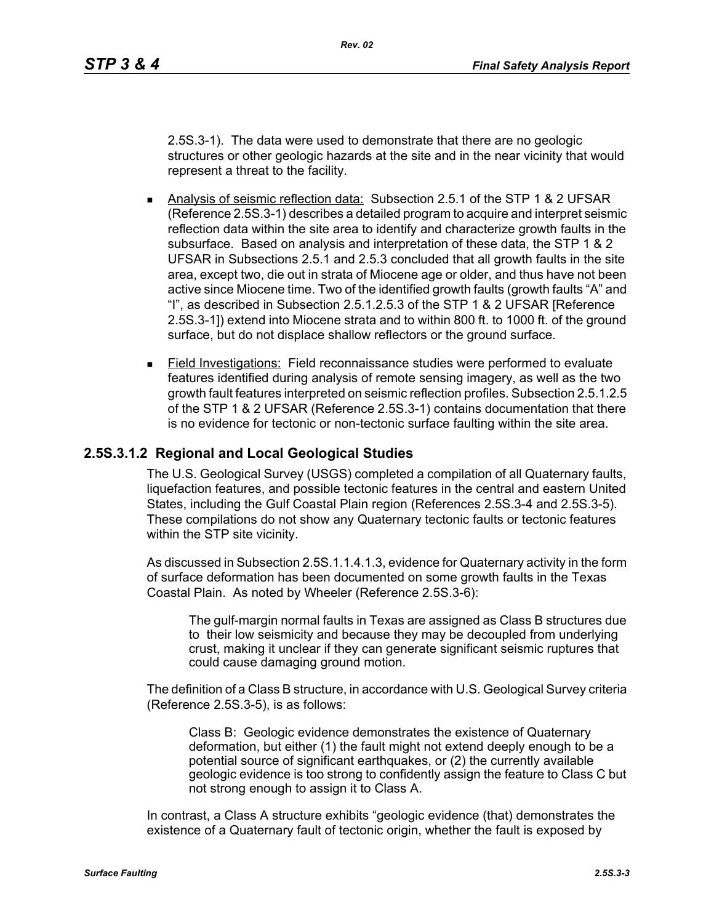2.5S.3-1). The data were used to demonstrate that there are no geologic structures or other geologic hazards at the site and in the near vicinity that would represent a threat to the facility.

- Analysis of seismic reflection data: Subsection 2.5.1 of the STP 1 & 2 UFSAR (Reference 2.5S.3-1) describes a detailed program to acquire and interpret seismic reflection data within the site area to identify and characterize growth faults in the subsurface. Based on analysis and interpretation of these data, the STP 1 & 2 UFSAR in Subsections 2.5.1 and 2.5.3 concluded that all growth faults in the site area, except two, die out in strata of Miocene age or older, and thus have not been active since Miocene time. Two of the identified growth faults (growth faults "A" and "I", as described in Subsection 2.5.1.2.5.3 of the STP 1 & 2 UFSAR [Reference 2.5S.3-1]) extend into Miocene strata and to within 800 ft. to 1000 ft. of the ground surface, but do not displace shallow reflectors or the ground surface.
- Field Investigations: Field reconnaissance studies were performed to evaluate features identified during analysis of remote sensing imagery, as well as the two growth fault features interpreted on seismic reflection profiles. Subsection 2.5.1.2.5 of the STP 1 & 2 UFSAR (Reference 2.5S.3-1) contains documentation that there is no evidence for tectonic or non-tectonic surface faulting within the site area.

#### **2.5S.3.1.2 Regional and Local Geological Studies**

The U.S. Geological Survey (USGS) completed a compilation of all Quaternary faults, liquefaction features, and possible tectonic features in the central and eastern United States, including the Gulf Coastal Plain region (References 2.5S.3-4 and 2.5S.3-5). These compilations do not show any Quaternary tectonic faults or tectonic features within the STP site vicinity.

As discussed in Subsection 2.5S.1.1.4.1.3, evidence for Quaternary activity in the form of surface deformation has been documented on some growth faults in the Texas Coastal Plain. As noted by Wheeler (Reference 2.5S.3-6):

The gulf-margin normal faults in Texas are assigned as Class B structures due to their low seismicity and because they may be decoupled from underlying crust, making it unclear if they can generate significant seismic ruptures that could cause damaging ground motion.

The definition of a Class B structure, in accordance with U.S. Geological Survey criteria (Reference 2.5S.3-5), is as follows:

Class B: Geologic evidence demonstrates the existence of Quaternary deformation, but either (1) the fault might not extend deeply enough to be a potential source of significant earthquakes, or (2) the currently available geologic evidence is too strong to confidently assign the feature to Class C but not strong enough to assign it to Class A.

In contrast, a Class A structure exhibits "geologic evidence (that) demonstrates the existence of a Quaternary fault of tectonic origin, whether the fault is exposed by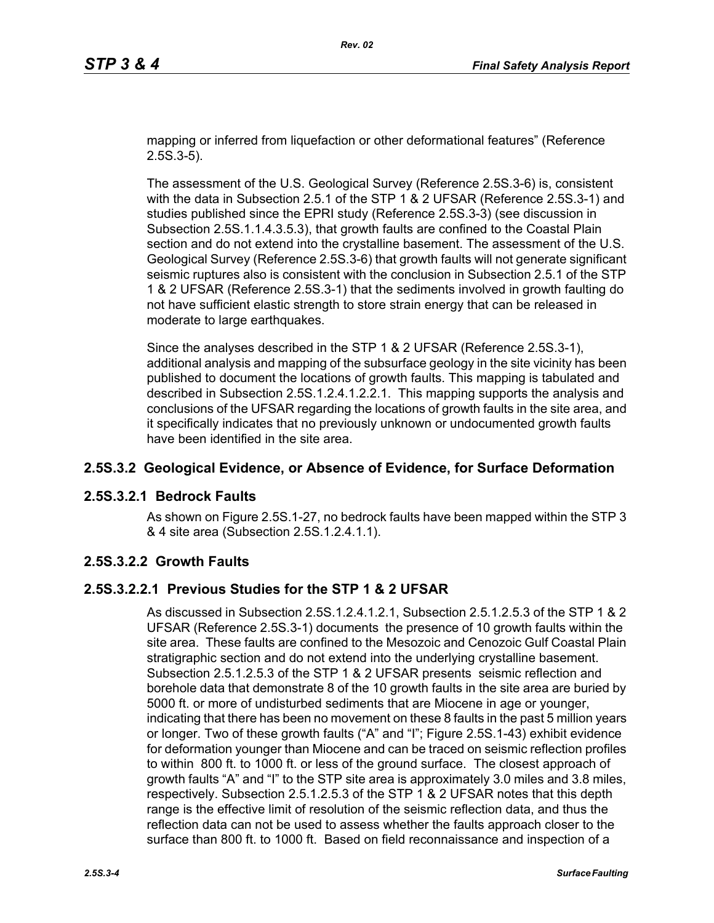mapping or inferred from liquefaction or other deformational features" (Reference 2.5S.3-5).

The assessment of the U.S. Geological Survey (Reference 2.5S.3-6) is, consistent with the data in Subsection 2.5.1 of the STP 1 & 2 UFSAR (Reference 2.5S.3-1) and studies published since the EPRI study (Reference 2.5S.3-3) (see discussion in Subsection 2.5S.1.1.4.3.5.3), that growth faults are confined to the Coastal Plain section and do not extend into the crystalline basement. The assessment of the U.S. Geological Survey (Reference 2.5S.3-6) that growth faults will not generate significant seismic ruptures also is consistent with the conclusion in Subsection 2.5.1 of the STP 1 & 2 UFSAR (Reference 2.5S.3-1) that the sediments involved in growth faulting do not have sufficient elastic strength to store strain energy that can be released in moderate to large earthquakes.

Since the analyses described in the STP 1 & 2 UFSAR (Reference 2.5S.3-1), additional analysis and mapping of the subsurface geology in the site vicinity has been published to document the locations of growth faults. This mapping is tabulated and described in Subsection 2.5S.1.2.4.1.2.2.1. This mapping supports the analysis and conclusions of the UFSAR regarding the locations of growth faults in the site area, and it specifically indicates that no previously unknown or undocumented growth faults have been identified in the site area.

# **2.5S.3.2 Geological Evidence, or Absence of Evidence, for Surface Deformation**

## **2.5S.3.2.1 Bedrock Faults**

As shown on Figure 2.5S.1-27, no bedrock faults have been mapped within the STP 3 & 4 site area (Subsection 2.5S.1.2.4.1.1).

## **2.5S.3.2.2 Growth Faults**

## **2.5S.3.2.2.1 Previous Studies for the STP 1 & 2 UFSAR**

As discussed in Subsection 2.5S.1.2.4.1.2.1, Subsection 2.5.1.2.5.3 of the STP 1 & 2 UFSAR (Reference 2.5S.3-1) documents the presence of 10 growth faults within the site area. These faults are confined to the Mesozoic and Cenozoic Gulf Coastal Plain stratigraphic section and do not extend into the underlying crystalline basement. Subsection 2.5.1.2.5.3 of the STP 1 & 2 UFSAR presents seismic reflection and borehole data that demonstrate 8 of the 10 growth faults in the site area are buried by 5000 ft. or more of undisturbed sediments that are Miocene in age or younger, indicating that there has been no movement on these 8 faults in the past 5 million years or longer. Two of these growth faults ("A" and "I"; Figure 2.5S.1-43) exhibit evidence for deformation younger than Miocene and can be traced on seismic reflection profiles to within 800 ft. to 1000 ft. or less of the ground surface. The closest approach of growth faults "A" and "I" to the STP site area is approximately 3.0 miles and 3.8 miles, respectively. Subsection 2.5.1.2.5.3 of the STP 1 & 2 UFSAR notes that this depth range is the effective limit of resolution of the seismic reflection data, and thus the reflection data can not be used to assess whether the faults approach closer to the surface than 800 ft. to 1000 ft. Based on field reconnaissance and inspection of a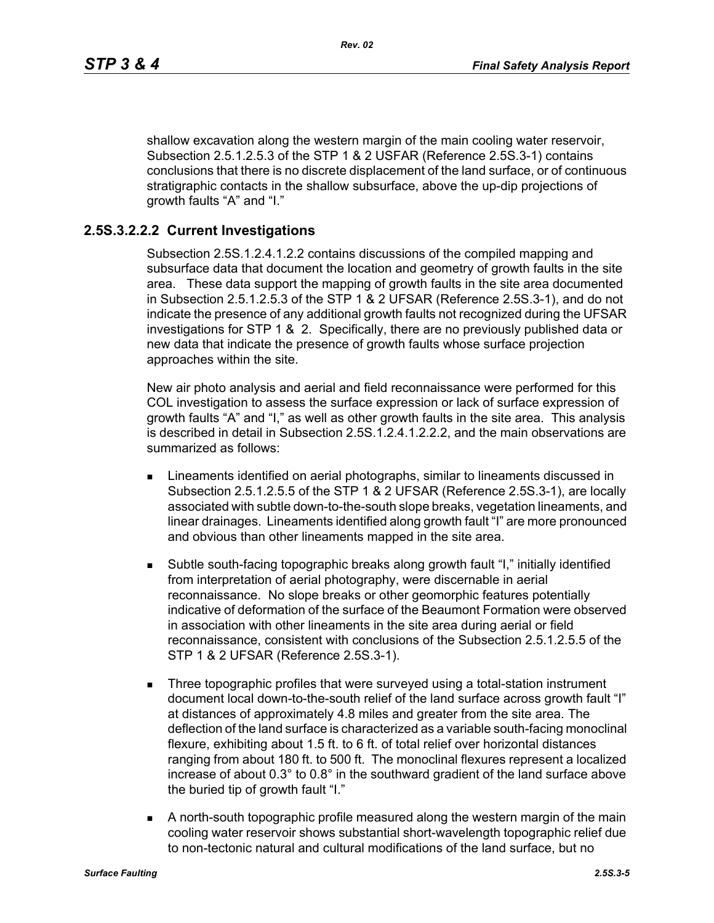shallow excavation along the western margin of the main cooling water reservoir, Subsection 2.5.1.2.5.3 of the STP 1 & 2 USFAR (Reference 2.5S.3-1) contains conclusions that there is no discrete displacement of the land surface, or of continuous stratigraphic contacts in the shallow subsurface, above the up-dip projections of growth faults "A" and "I."

### **2.5S.3.2.2.2 Current Investigations**

Subsection 2.5S.1.2.4.1.2.2 contains discussions of the compiled mapping and subsurface data that document the location and geometry of growth faults in the site area. These data support the mapping of growth faults in the site area documented in Subsection 2.5.1.2.5.3 of the STP 1 & 2 UFSAR (Reference 2.5S.3-1), and do not indicate the presence of any additional growth faults not recognized during the UFSAR investigations for STP 1 & 2. Specifically, there are no previously published data or new data that indicate the presence of growth faults whose surface projection approaches within the site.

New air photo analysis and aerial and field reconnaissance were performed for this COL investigation to assess the surface expression or lack of surface expression of growth faults "A" and "I," as well as other growth faults in the site area. This analysis is described in detail in Subsection 2.5S.1.2.4.1.2.2.2, and the main observations are summarized as follows:

- **EXECT** Lineaments identified on aerial photographs, similar to lineaments discussed in Subsection 2.5.1.2.5.5 of the STP 1 & 2 UFSAR (Reference 2.5S.3-1), are locally associated with subtle down-to-the-south slope breaks, vegetation lineaments, and linear drainages. Lineaments identified along growth fault "I" are more pronounced and obvious than other lineaments mapped in the site area.
- Subtle south-facing topographic breaks along growth fault "I," initially identified from interpretation of aerial photography, were discernable in aerial reconnaissance. No slope breaks or other geomorphic features potentially indicative of deformation of the surface of the Beaumont Formation were observed in association with other lineaments in the site area during aerial or field reconnaissance, consistent with conclusions of the Subsection 2.5.1.2.5.5 of the STP 1 & 2 UFSAR (Reference 2.5S.3-1).
- Three topographic profiles that were surveyed using a total-station instrument document local down-to-the-south relief of the land surface across growth fault "I" at distances of approximately 4.8 miles and greater from the site area. The deflection of the land surface is characterized as a variable south-facing monoclinal flexure, exhibiting about 1.5 ft. to 6 ft. of total relief over horizontal distances ranging from about 180 ft. to 500 ft. The monoclinal flexures represent a localized increase of about 0.3° to 0.8° in the southward gradient of the land surface above the buried tip of growth fault "I."
- A north-south topographic profile measured along the western margin of the main cooling water reservoir shows substantial short-wavelength topographic relief due to non-tectonic natural and cultural modifications of the land surface, but no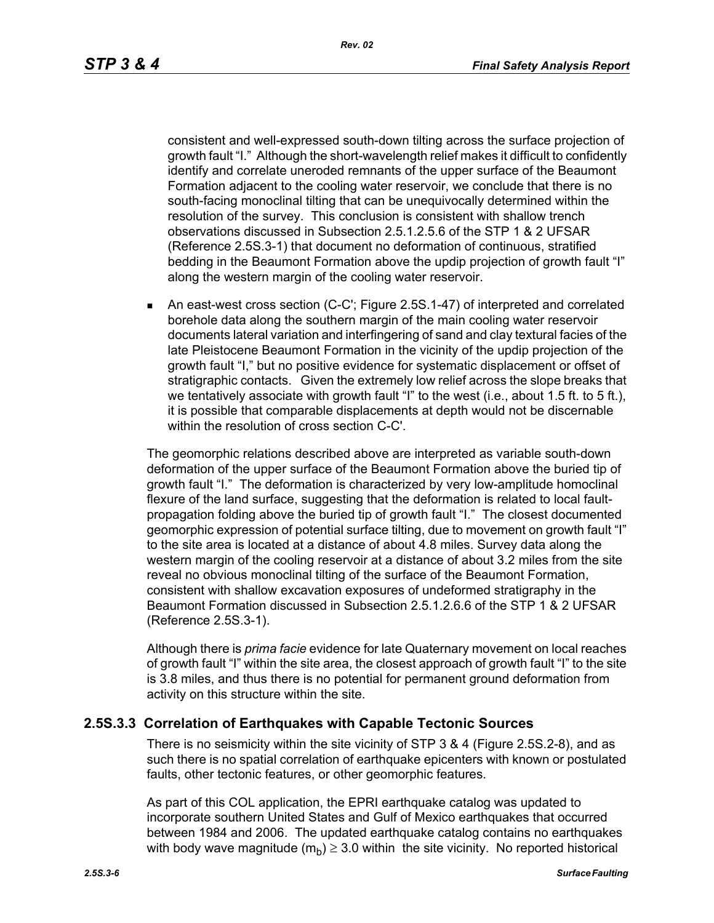consistent and well-expressed south-down tilting across the surface projection of growth fault "I." Although the short-wavelength relief makes it difficult to confidently identify and correlate uneroded remnants of the upper surface of the Beaumont Formation adjacent to the cooling water reservoir, we conclude that there is no south-facing monoclinal tilting that can be unequivocally determined within the resolution of the survey. This conclusion is consistent with shallow trench observations discussed in Subsection 2.5.1.2.5.6 of the STP 1 & 2 UFSAR (Reference 2.5S.3-1) that document no deformation of continuous, stratified bedding in the Beaumont Formation above the updip projection of growth fault "I" along the western margin of the cooling water reservoir.

 An east-west cross section (C-C'; Figure 2.5S.1-47) of interpreted and correlated borehole data along the southern margin of the main cooling water reservoir documents lateral variation and interfingering of sand and clay textural facies of the late Pleistocene Beaumont Formation in the vicinity of the updip projection of the growth fault "I," but no positive evidence for systematic displacement or offset of stratigraphic contacts. Given the extremely low relief across the slope breaks that we tentatively associate with growth fault "I" to the west (i.e., about 1.5 ft. to 5 ft.), it is possible that comparable displacements at depth would not be discernable within the resolution of cross section C-C'.

The geomorphic relations described above are interpreted as variable south-down deformation of the upper surface of the Beaumont Formation above the buried tip of growth fault "I." The deformation is characterized by very low-amplitude homoclinal flexure of the land surface, suggesting that the deformation is related to local faultpropagation folding above the buried tip of growth fault "I." The closest documented geomorphic expression of potential surface tilting, due to movement on growth fault "I" to the site area is located at a distance of about 4.8 miles. Survey data along the western margin of the cooling reservoir at a distance of about 3.2 miles from the site reveal no obvious monoclinal tilting of the surface of the Beaumont Formation, consistent with shallow excavation exposures of undeformed stratigraphy in the Beaumont Formation discussed in Subsection 2.5.1.2.6.6 of the STP 1 & 2 UFSAR (Reference 2.5S.3-1).

Although there is *prima facie* evidence for late Quaternary movement on local reaches of growth fault "I" within the site area, the closest approach of growth fault "I" to the site is 3.8 miles, and thus there is no potential for permanent ground deformation from activity on this structure within the site.

#### **2.5S.3.3 Correlation of Earthquakes with Capable Tectonic Sources**

There is no seismicity within the site vicinity of STP 3 & 4 (Figure 2.5S.2-8), and as such there is no spatial correlation of earthquake epicenters with known or postulated faults, other tectonic features, or other geomorphic features.

As part of this COL application, the EPRI earthquake catalog was updated to incorporate southern United States and Gulf of Mexico earthquakes that occurred between 1984 and 2006. The updated earthquake catalog contains no earthquakes with body wave magnitude  $(m_b) \geq 3.0$  within the site vicinity. No reported historical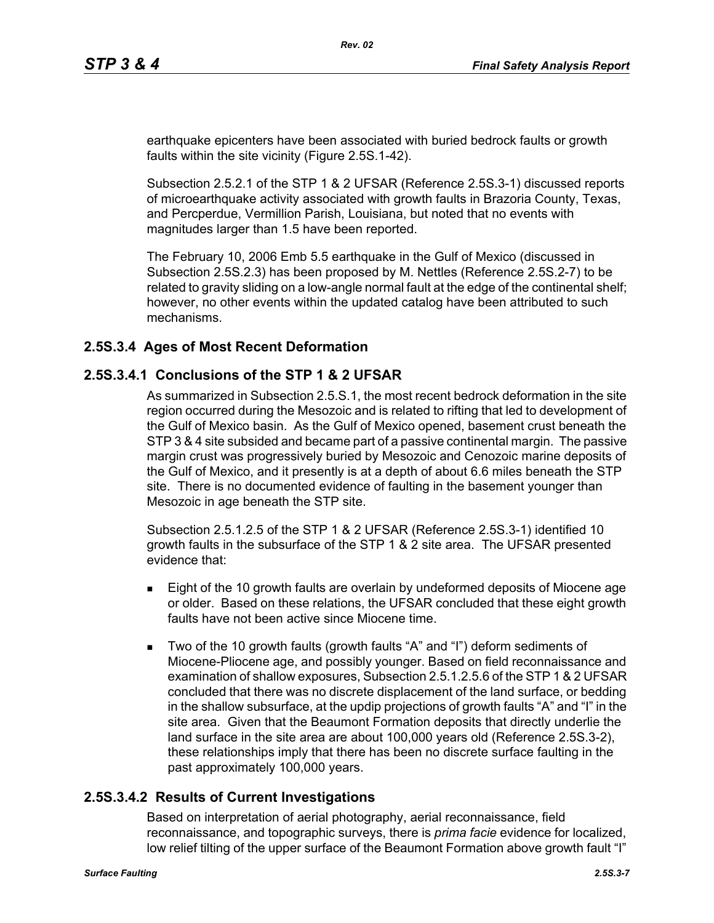earthquake epicenters have been associated with buried bedrock faults or growth faults within the site vicinity (Figure 2.5S.1-42).

Subsection 2.5.2.1 of the STP 1 & 2 UFSAR (Reference 2.5S.3-1) discussed reports of microearthquake activity associated with growth faults in Brazoria County, Texas, and Percperdue, Vermillion Parish, Louisiana, but noted that no events with magnitudes larger than 1.5 have been reported.

The February 10, 2006 Emb 5.5 earthquake in the Gulf of Mexico (discussed in Subsection 2.5S.2.3) has been proposed by M. Nettles (Reference 2.5S.2-7) to be related to gravity sliding on a low-angle normal fault at the edge of the continental shelf; however, no other events within the updated catalog have been attributed to such mechanisms.

### **2.5S.3.4 Ages of Most Recent Deformation**

### **2.5S.3.4.1 Conclusions of the STP 1 & 2 UFSAR**

As summarized in Subsection 2.5.S.1, the most recent bedrock deformation in the site region occurred during the Mesozoic and is related to rifting that led to development of the Gulf of Mexico basin. As the Gulf of Mexico opened, basement crust beneath the STP 3 & 4 site subsided and became part of a passive continental margin. The passive margin crust was progressively buried by Mesozoic and Cenozoic marine deposits of the Gulf of Mexico, and it presently is at a depth of about 6.6 miles beneath the STP site. There is no documented evidence of faulting in the basement younger than Mesozoic in age beneath the STP site.

Subsection 2.5.1.2.5 of the STP 1 & 2 UFSAR (Reference 2.5S.3-1) identified 10 growth faults in the subsurface of the STP 1 & 2 site area. The UFSAR presented evidence that:

- **Eight of the 10 growth faults are overlain by undeformed deposits of Miocene age** or older. Based on these relations, the UFSAR concluded that these eight growth faults have not been active since Miocene time.
- Two of the 10 growth faults (growth faults "A" and "I") deform sediments of Miocene-Pliocene age, and possibly younger. Based on field reconnaissance and examination of shallow exposures, Subsection 2.5.1.2.5.6 of the STP 1 & 2 UFSAR concluded that there was no discrete displacement of the land surface, or bedding in the shallow subsurface, at the updip projections of growth faults "A" and "I" in the site area. Given that the Beaumont Formation deposits that directly underlie the land surface in the site area are about 100,000 years old (Reference 2.5S.3-2), these relationships imply that there has been no discrete surface faulting in the past approximately 100,000 years.

#### **2.5S.3.4.2 Results of Current Investigations**

Based on interpretation of aerial photography, aerial reconnaissance, field reconnaissance, and topographic surveys, there is *prima facie* evidence for localized, low relief tilting of the upper surface of the Beaumont Formation above growth fault "I"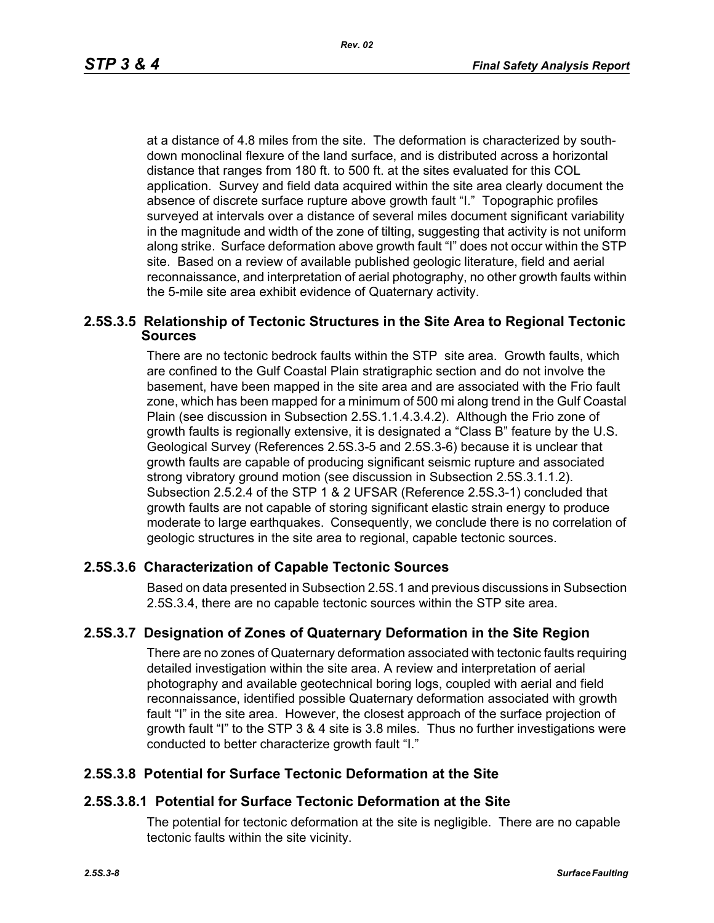at a distance of 4.8 miles from the site. The deformation is characterized by southdown monoclinal flexure of the land surface, and is distributed across a horizontal distance that ranges from 180 ft. to 500 ft. at the sites evaluated for this COL application. Survey and field data acquired within the site area clearly document the absence of discrete surface rupture above growth fault "I." Topographic profiles surveyed at intervals over a distance of several miles document significant variability in the magnitude and width of the zone of tilting, suggesting that activity is not uniform along strike. Surface deformation above growth fault "I" does not occur within the STP site. Based on a review of available published geologic literature, field and aerial reconnaissance, and interpretation of aerial photography, no other growth faults within the 5-mile site area exhibit evidence of Quaternary activity.

#### **2.5S.3.5 Relationship of Tectonic Structures in the Site Area to Regional Tectonic Sources**

There are no tectonic bedrock faults within the STP site area. Growth faults, which are confined to the Gulf Coastal Plain stratigraphic section and do not involve the basement, have been mapped in the site area and are associated with the Frio fault zone, which has been mapped for a minimum of 500 mi along trend in the Gulf Coastal Plain (see discussion in Subsection 2.5S.1.1.4.3.4.2). Although the Frio zone of growth faults is regionally extensive, it is designated a "Class B" feature by the U.S. Geological Survey (References 2.5S.3-5 and 2.5S.3-6) because it is unclear that growth faults are capable of producing significant seismic rupture and associated strong vibratory ground motion (see discussion in Subsection 2.5S.3.1.1.2). Subsection 2.5.2.4 of the STP 1 & 2 UFSAR (Reference 2.5S.3-1) concluded that growth faults are not capable of storing significant elastic strain energy to produce moderate to large earthquakes. Consequently, we conclude there is no correlation of geologic structures in the site area to regional, capable tectonic sources.

#### **2.5S.3.6 Characterization of Capable Tectonic Sources**

Based on data presented in Subsection 2.5S.1 and previous discussions in Subsection 2.5S.3.4, there are no capable tectonic sources within the STP site area.

#### **2.5S.3.7 Designation of Zones of Quaternary Deformation in the Site Region**

There are no zones of Quaternary deformation associated with tectonic faults requiring detailed investigation within the site area. A review and interpretation of aerial photography and available geotechnical boring logs, coupled with aerial and field reconnaissance, identified possible Quaternary deformation associated with growth fault "I" in the site area. However, the closest approach of the surface projection of growth fault "I" to the STP 3 & 4 site is 3.8 miles. Thus no further investigations were conducted to better characterize growth fault "I."

#### **2.5S.3.8 Potential for Surface Tectonic Deformation at the Site**

#### **2.5S.3.8.1 Potential for Surface Tectonic Deformation at the Site**

The potential for tectonic deformation at the site is negligible. There are no capable tectonic faults within the site vicinity.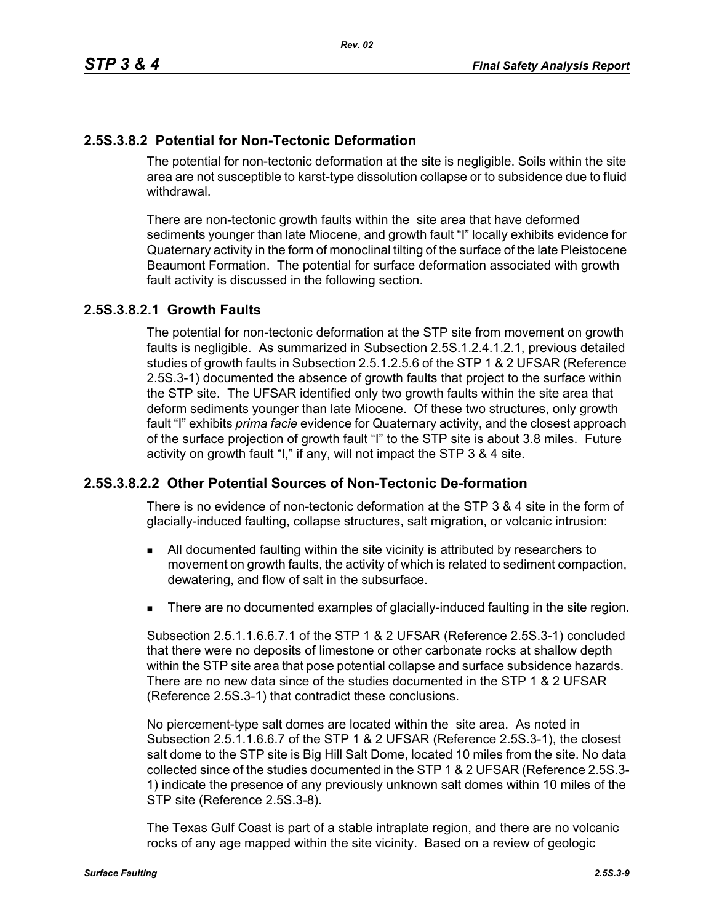# **2.5S.3.8.2 Potential for Non-Tectonic Deformation**

The potential for non-tectonic deformation at the site is negligible. Soils within the site area are not susceptible to karst-type dissolution collapse or to subsidence due to fluid withdrawal.

There are non-tectonic growth faults within the site area that have deformed sediments younger than late Miocene, and growth fault "I" locally exhibits evidence for Quaternary activity in the form of monoclinal tilting of the surface of the late Pleistocene Beaumont Formation. The potential for surface deformation associated with growth fault activity is discussed in the following section.

# **2.5S.3.8.2.1 Growth Faults**

The potential for non-tectonic deformation at the STP site from movement on growth faults is negligible. As summarized in Subsection 2.5S.1.2.4.1.2.1, previous detailed studies of growth faults in Subsection 2.5.1.2.5.6 of the STP 1 & 2 UFSAR (Reference 2.5S.3-1) documented the absence of growth faults that project to the surface within the STP site. The UFSAR identified only two growth faults within the site area that deform sediments younger than late Miocene. Of these two structures, only growth fault "I" exhibits *prima facie* evidence for Quaternary activity, and the closest approach of the surface projection of growth fault "I" to the STP site is about 3.8 miles. Future activity on growth fault "I," if any, will not impact the STP 3 & 4 site.

## **2.5S.3.8.2.2 Other Potential Sources of Non-Tectonic De-formation**

There is no evidence of non-tectonic deformation at the STP 3 & 4 site in the form of glacially-induced faulting, collapse structures, salt migration, or volcanic intrusion:

- All documented faulting within the site vicinity is attributed by researchers to movement on growth faults, the activity of which is related to sediment compaction, dewatering, and flow of salt in the subsurface.
- **There are no documented examples of glacially-induced faulting in the site region.**

Subsection 2.5.1.1.6.6.7.1 of the STP 1 & 2 UFSAR (Reference 2.5S.3-1) concluded that there were no deposits of limestone or other carbonate rocks at shallow depth within the STP site area that pose potential collapse and surface subsidence hazards. There are no new data since of the studies documented in the STP 1 & 2 UFSAR (Reference 2.5S.3-1) that contradict these conclusions.

No piercement-type salt domes are located within the site area. As noted in Subsection 2.5.1.1.6.6.7 of the STP 1 & 2 UFSAR (Reference 2.5S.3-1), the closest salt dome to the STP site is Big Hill Salt Dome, located 10 miles from the site. No data collected since of the studies documented in the STP 1 & 2 UFSAR (Reference 2.5S.3- 1) indicate the presence of any previously unknown salt domes within 10 miles of the STP site (Reference 2.5S.3-8).

The Texas Gulf Coast is part of a stable intraplate region, and there are no volcanic rocks of any age mapped within the site vicinity. Based on a review of geologic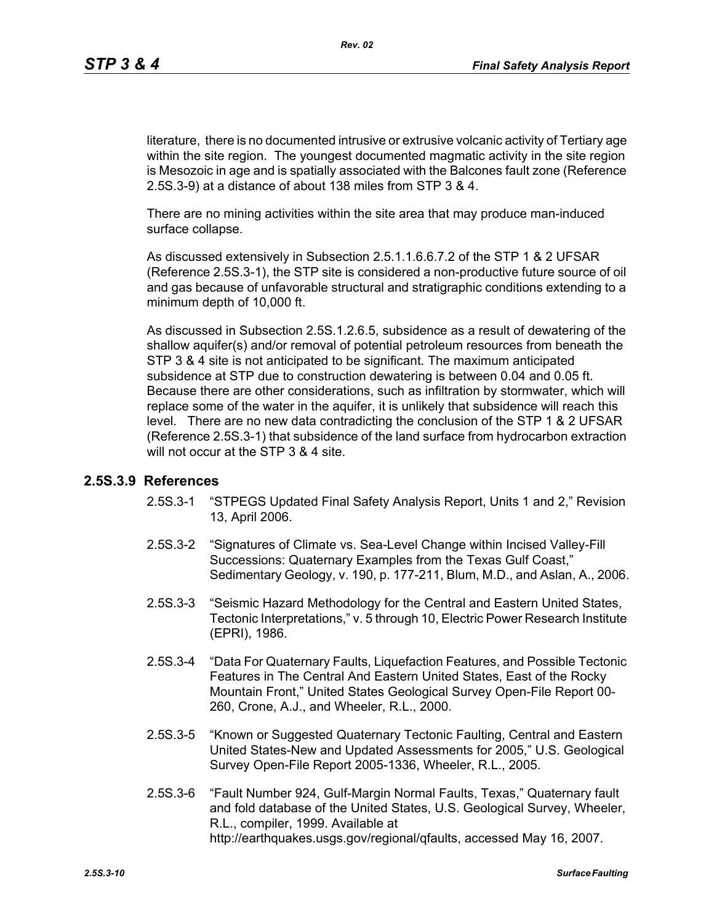literature, there is no documented intrusive or extrusive volcanic activity of Tertiary age within the site region. The youngest documented magmatic activity in the site region is Mesozoic in age and is spatially associated with the Balcones fault zone (Reference 2.5S.3-9) at a distance of about 138 miles from STP 3 & 4.

There are no mining activities within the site area that may produce man-induced surface collapse.

As discussed extensively in Subsection 2.5.1.1.6.6.7.2 of the STP 1 & 2 UFSAR (Reference 2.5S.3-1), the STP site is considered a non-productive future source of oil and gas because of unfavorable structural and stratigraphic conditions extending to a minimum depth of 10,000 ft.

As discussed in Subsection 2.5S.1.2.6.5, subsidence as a result of dewatering of the shallow aquifer(s) and/or removal of potential petroleum resources from beneath the STP 3 & 4 site is not anticipated to be significant. The maximum anticipated subsidence at STP due to construction dewatering is between 0.04 and 0.05 ft. Because there are other considerations, such as infiltration by stormwater, which will replace some of the water in the aquifer, it is unlikely that subsidence will reach this level. There are no new data contradicting the conclusion of the STP 1 & 2 UFSAR (Reference 2.5S.3-1) that subsidence of the land surface from hydrocarbon extraction will not occur at the STP 3 & 4 site.

#### **2.5S.3.9 References**

- 2.5S.3-1 "STPEGS Updated Final Safety Analysis Report, Units 1 and 2," Revision 13, April 2006.
- 2.5S.3-2 "Signatures of Climate vs. Sea-Level Change within Incised Valley-Fill Successions: Quaternary Examples from the Texas Gulf Coast," Sedimentary Geology, v. 190, p. 177-211, Blum, M.D., and Aslan, A., 2006.
- 2.5S.3-3 "Seismic Hazard Methodology for the Central and Eastern United States, Tectonic Interpretations," v. 5 through 10, Electric Power Research Institute (EPRI), 1986.
- 2.5S.3-4 "Data For Quaternary Faults, Liquefaction Features, and Possible Tectonic Features in The Central And Eastern United States, East of the Rocky Mountain Front," United States Geological Survey Open-File Report 00- 260, Crone, A.J., and Wheeler, R.L., 2000.
- 2.5S.3-5 "Known or Suggested Quaternary Tectonic Faulting, Central and Eastern United States-New and Updated Assessments for 2005," U.S. Geological Survey Open-File Report 2005-1336, Wheeler, R.L., 2005.
- 2.5S.3-6 "Fault Number 924, Gulf-Margin Normal Faults, Texas," Quaternary fault and fold database of the United States, U.S. Geological Survey, Wheeler, R.L., compiler, 1999. Available at http://earthquakes.usgs.gov/regional/qfaults, accessed May 16, 2007.